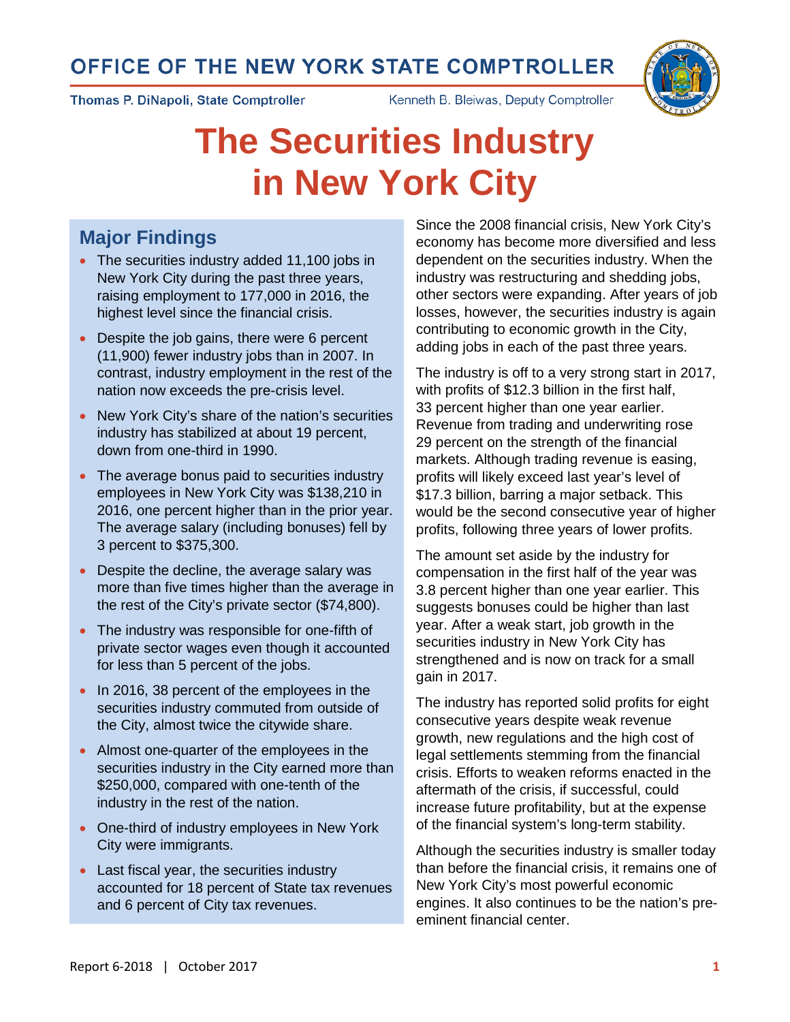# OFFICE OF THE NEW YORK STATE COMPTROLLER





Thomas P. DiNapoli, State Comptroller

Kenneth B. Bleiwas, Deputy Comptroller

# **The Securities Industry in New York City**

## **Major Findings**

- The securities industry added 11,100 jobs in New York City during the past three years, raising employment to 177,000 in 2016, the highest level since the financial crisis.
- Despite the job gains, there were 6 percent (11,900) fewer industry jobs than in 2007. In contrast, industry employment in the rest of the nation now exceeds the pre-crisis level.
- New York City's share of the nation's securities industry has stabilized at about 19 percent, down from one-third in 1990.
- The average bonus paid to securities industry employees in New York City was \$138,210 in 2016, one percent higher than in the prior year. The average salary (including bonuses) fell by 3 percent to \$375,300.
- Despite the decline, the average salary was more than five times higher than the average in the rest of the City's private sector (\$74,800).
- The industry was responsible for one-fifth of private sector wages even though it accounted for less than 5 percent of the jobs.
- In 2016, 38 percent of the employees in the securities industry commuted from outside of the City, almost twice the citywide share.
- Almost one-quarter of the employees in the securities industry in the City earned more than \$250,000, compared with one-tenth of the industry in the rest of the nation.
- One-third of industry employees in New York City were immigrants.
- Last fiscal year, the securities industry accounted for 18 percent of State tax revenues and 6 percent of City tax revenues.

Since the 2008 financial crisis, New York City's economy has become more diversified and less dependent on the securities industry. When the industry was restructuring and shedding jobs, other sectors were expanding. After years of job losses, however, the securities industry is again contributing to economic growth in the City, adding jobs in each of the past three years.

The industry is off to a very strong start in 2017, with profits of \$12.3 billion in the first half, 33 percent higher than one year earlier. Revenue from trading and underwriting rose 29 percent on the strength of the financial markets. Although trading revenue is easing, profits will likely exceed last year's level of \$17.3 billion, barring a major setback. This would be the second consecutive year of higher profits, following three years of lower profits.

The amount set aside by the industry for compensation in the first half of the year was 3.8 percent higher than one year earlier. This suggests bonuses could be higher than last year. After a weak start, job growth in the securities industry in New York City has strengthened and is now on track for a small gain in 2017.

The industry has reported solid profits for eight consecutive years despite weak revenue growth, new regulations and the high cost of legal settlements stemming from the financial crisis. Efforts to weaken reforms enacted in the aftermath of the crisis, if successful, could increase future profitability, but at the expense of the financial system's long-term stability.

Although the securities industry is smaller today than before the financial crisis, it remains one of New York City's most powerful economic engines. It also continues to be the nation's preeminent financial center.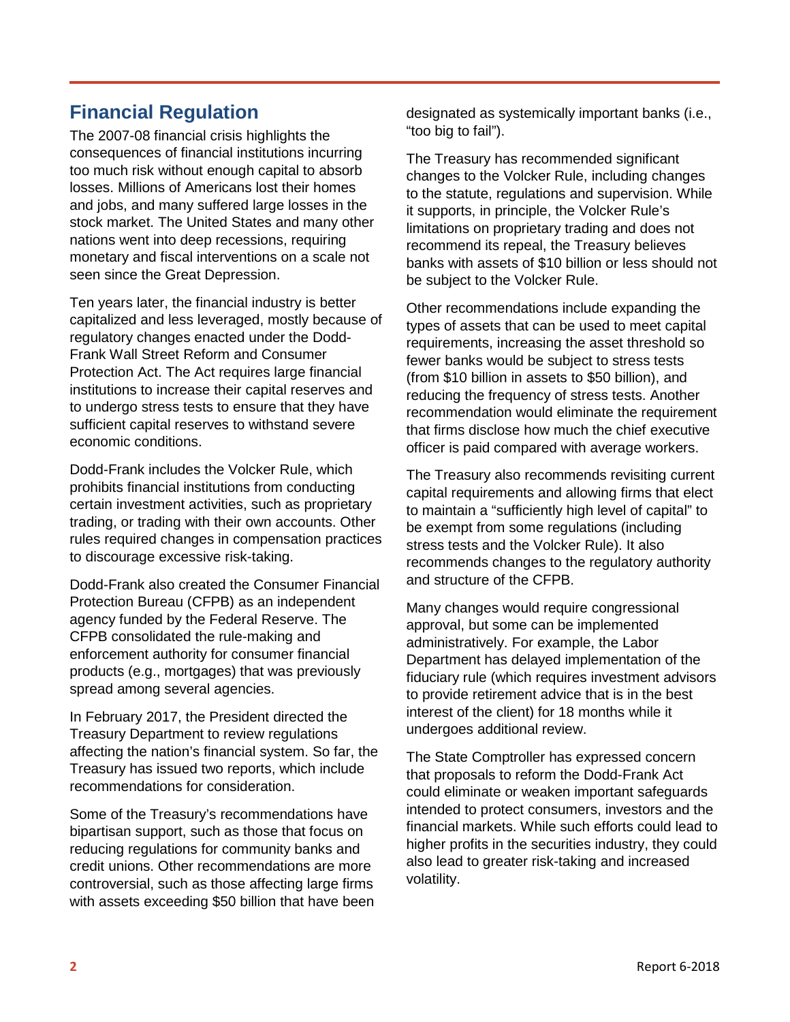## **Financial Regulation**

The 2007-08 financial crisis highlights the consequences of financial institutions incurring too much risk without enough capital to absorb losses. Millions of Americans lost their homes and jobs, and many suffered large losses in the stock market. The United States and many other nations went into deep recessions, requiring monetary and fiscal interventions on a scale not seen since the Great Depression.

Ten years later, the financial industry is better capitalized and less leveraged, mostly because of regulatory changes enacted under the Dodd-Frank Wall Street Reform and Consumer Protection Act. The Act requires large financial institutions to increase their capital reserves and to undergo stress tests to ensure that they have sufficient capital reserves to withstand severe economic conditions.

Dodd-Frank includes the Volcker Rule, which prohibits financial institutions from conducting certain investment activities, such as proprietary trading, or trading with their own accounts. Other rules required changes in compensation practices to discourage excessive risk-taking.

Dodd-Frank also created the Consumer Financial Protection Bureau (CFPB) as an independent agency funded by the Federal Reserve. The CFPB consolidated the rule-making and enforcement authority for consumer financial products (e.g., mortgages) that was previously spread among several agencies.

In February 2017, the President directed the Treasury Department to review regulations affecting the nation's financial system. So far, the Treasury has issued two reports, which include recommendations for consideration.

Some of the Treasury's recommendations have bipartisan support, such as those that focus on reducing regulations for community banks and credit unions. Other recommendations are more controversial, such as those affecting large firms with assets exceeding \$50 billion that have been designated as systemically important banks (i.e., "too big to fail").

The Treasury has recommended significant changes to the Volcker Rule, including changes to the statute, regulations and supervision. While it supports, in principle, the Volcker Rule's limitations on proprietary trading and does not recommend its repeal, the Treasury believes banks with assets of \$10 billion or less should not be subject to the Volcker Rule.

Other recommendations include expanding the types of assets that can be used to meet capital requirements, increasing the asset threshold so fewer banks would be subject to stress tests (from \$10 billion in assets to \$50 billion), and reducing the frequency of stress tests. Another recommendation would eliminate the requirement that firms disclose how much the chief executive officer is paid compared with average workers.

The Treasury also recommends revisiting current capital requirements and allowing firms that elect to maintain a "sufficiently high level of capital" to be exempt from some regulations (including stress tests and the Volcker Rule). It also recommends changes to the regulatory authority and structure of the CFPB.

Many changes would require congressional approval, but some can be implemented administratively. For example, the Labor Department has delayed implementation of the fiduciary rule (which requires investment advisors to provide retirement advice that is in the best interest of the client) for 18 months while it undergoes additional review.

The State Comptroller has expressed concern that proposals to reform the Dodd-Frank Act could eliminate or weaken important safeguards intended to protect consumers, investors and the financial markets. While such efforts could lead to higher profits in the securities industry, they could also lead to greater risk-taking and increased volatility.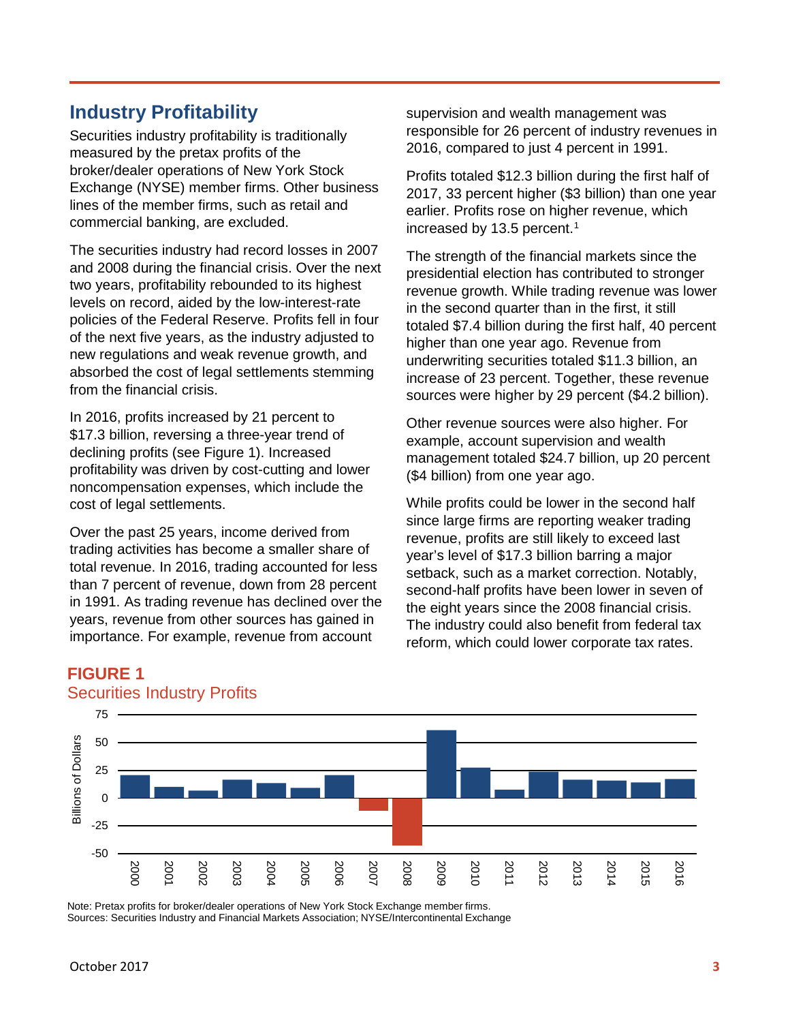## **Industry Profitability**

Securities industry profitability is traditionally measured by the pretax profits of the broker/dealer operations of New York Stock Exchange (NYSE) member firms. Other business lines of the member firms, such as retail and commercial banking, are excluded.

The securities industry had record losses in 2007 and 2008 during the financial crisis. Over the next two years, profitability rebounded to its highest levels on record, aided by the low-interest-rate policies of the Federal Reserve. Profits fell in four of the next five years, as the industry adjusted to new regulations and weak revenue growth, and absorbed the cost of legal settlements stemming from the financial crisis.

In 2016, profits increased by 21 percent to \$17.3 billion, reversing a three-year trend of declining profits (see Figure 1). Increased profitability was driven by cost-cutting and lower noncompensation expenses, which include the cost of legal settlements.

Over the past 25 years, income derived from trading activities has become a smaller share of total revenue. In 2016, trading accounted for less than 7 percent of revenue, down from 28 percent in 1991. As trading revenue has declined over the years, revenue from other sources has gained in importance. For example, revenue from account

supervision and wealth management was responsible for 26 percent of industry revenues in 2016, compared to just 4 percent in 1991.

Profits totaled \$12.3 billion during the first half of 2017, 33 percent higher (\$3 billion) than one year earlier. Profits rose on higher revenue, which increased by 13.5 percent. [1](#page-7-0)

The strength of the financial markets since the presidential election has contributed to stronger revenue growth. While trading revenue was lower in the second quarter than in the first, it still totaled \$7.4 billion during the first half, 40 percent higher than one year ago. Revenue from underwriting securities totaled \$11.3 billion, an increase of 23 percent. Together, these revenue sources were higher by 29 percent (\$4.2 billion).

Other revenue sources were also higher. For example, account supervision and wealth management totaled \$24.7 billion, up 20 percent (\$4 billion) from one year ago.

While profits could be lower in the second half since large firms are reporting weaker trading revenue, profits are still likely to exceed last year's level of \$17.3 billion barring a major setback, such as a market correction. Notably, second-half profits have been lower in seven of the eight years since the 2008 financial crisis. The industry could also benefit from federal tax reform, which could lower corporate tax rates.



#### **FIGURE 1** Securities Industry Profits

Note: Pretax profits for broker/dealer operations of New York Stock Exchange member firms.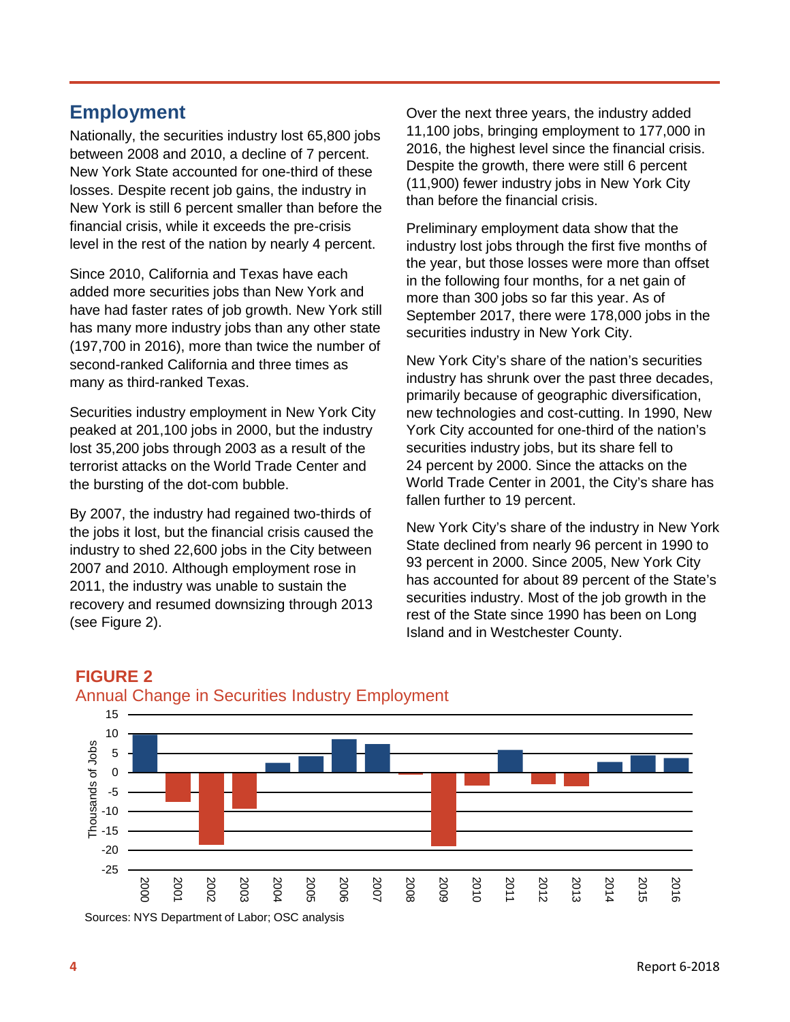## **Employment**

Nationally, the securities industry lost 65,800 jobs between 2008 and 2010, a decline of 7 percent. New York State accounted for one-third of these losses. Despite recent job gains, the industry in New York is still 6 percent smaller than before the financial crisis, while it exceeds the pre-crisis level in the rest of the nation by nearly 4 percent.

Since 2010, California and Texas have each added more securities jobs than New York and have had faster rates of job growth. New York still has many more industry jobs than any other state (197,700 in 2016), more than twice the number of second-ranked California and three times as many as third-ranked Texas.

Securities industry employment in New York City peaked at 201,100 jobs in 2000, but the industry lost 35,200 jobs through 2003 as a result of the terrorist attacks on the World Trade Center and the bursting of the dot-com bubble.

By 2007, the industry had regained two-thirds of the jobs it lost, but the financial crisis caused the industry to shed 22,600 jobs in the City between 2007 and 2010. Although employment rose in 2011, the industry was unable to sustain the recovery and resumed downsizing through 2013 (see Figure 2).

Over the next three years, the industry added 11,100 jobs, bringing employment to 177,000 in 2016, the highest level since the financial crisis. Despite the growth, there were still 6 percent (11,900) fewer industry jobs in New York City than before the financial crisis.

Preliminary employment data show that the industry lost jobs through the first five months of the year, but those losses were more than offset in the following four months, for a net gain of more than 300 jobs so far this year. As of September 2017, there were 178,000 jobs in the securities industry in New York City.

New York City's share of the nation's securities industry has shrunk over the past three decades, primarily because of geographic diversification, new technologies and cost-cutting. In 1990, New York City accounted for one-third of the nation's securities industry jobs, but its share fell to 24 percent by 2000. Since the attacks on the World Trade Center in 2001, the City's share has fallen further to 19 percent.

New York City's share of the industry in New York State declined from nearly 96 percent in 1990 to 93 percent in 2000. Since 2005, New York City has accounted for about 89 percent of the State's securities industry. Most of the job growth in the rest of the State since 1990 has been on Long Island and in Westchester County.



#### **FIGURE 2** Annual Change in Securities Industry Employment

Sources: NYS Department of Labor; OSC analysis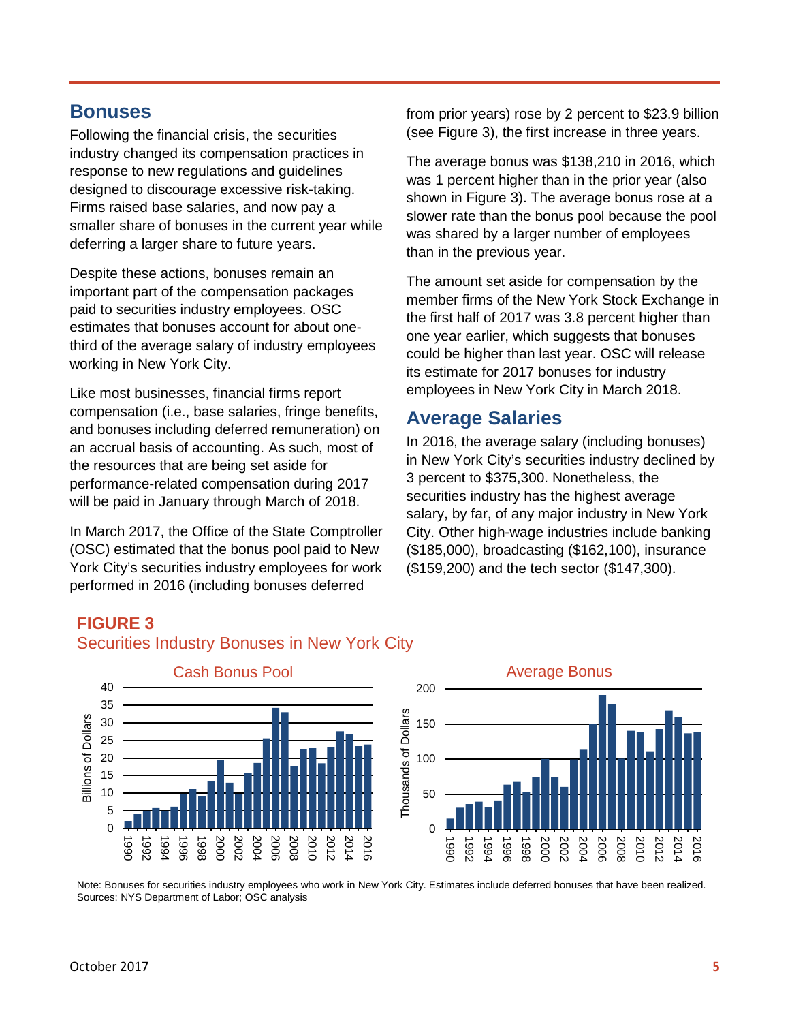## **Bonuses**

Following the financial crisis, the securities industry changed its compensation practices in response to new regulations and guidelines designed to discourage excessive risk-taking. Firms raised base salaries, and now pay a smaller share of bonuses in the current year while deferring a larger share to future years.

Despite these actions, bonuses remain an important part of the compensation packages paid to securities industry employees. OSC estimates that bonuses account for about onethird of the average salary of industry employees working in New York City.

Like most businesses, financial firms report compensation (i.e., base salaries, fringe benefits, and bonuses including deferred remuneration) on an accrual basis of accounting. As such, most of the resources that are being set aside for performance-related compensation during 2017 will be paid in January through March of 2018.

In March 2017, the Office of the State Comptroller (OSC) estimated that the bonus pool paid to New York City's securities industry employees for work performed in 2016 (including bonuses deferred

from prior years) rose by 2 percent to \$23.9 billion (see Figure 3), the first increase in three years.

The average bonus was \$138,210 in 2016, which was 1 percent higher than in the prior year (also shown in Figure 3). The average bonus rose at a slower rate than the bonus pool because the pool was shared by a larger number of employees than in the previous year.

The amount set aside for compensation by the member firms of the New York Stock Exchange in the first half of 2017 was 3.8 percent higher than one year earlier, which suggests that bonuses could be higher than last year. OSC will release its estimate for 2017 bonuses for industry employees in New York City in March 2018.

## **Average Salaries**

In 2016, the average salary (including bonuses) in New York City's securities industry declined by 3 percent to \$375,300. Nonetheless, the securities industry has the highest average salary, by far, of any major industry in New York City. Other high-wage industries include banking (\$185,000), broadcasting (\$162,100), insurance (\$159,200) and the tech sector (\$147,300).

#### **FIGURE 3**

#### Securities Industry Bonuses in New York City



Note: Bonuses for securities industry employees who work in New York City. Estimates include deferred bonuses that have been realized. Sources: NYS Department of Labor; OSC analysis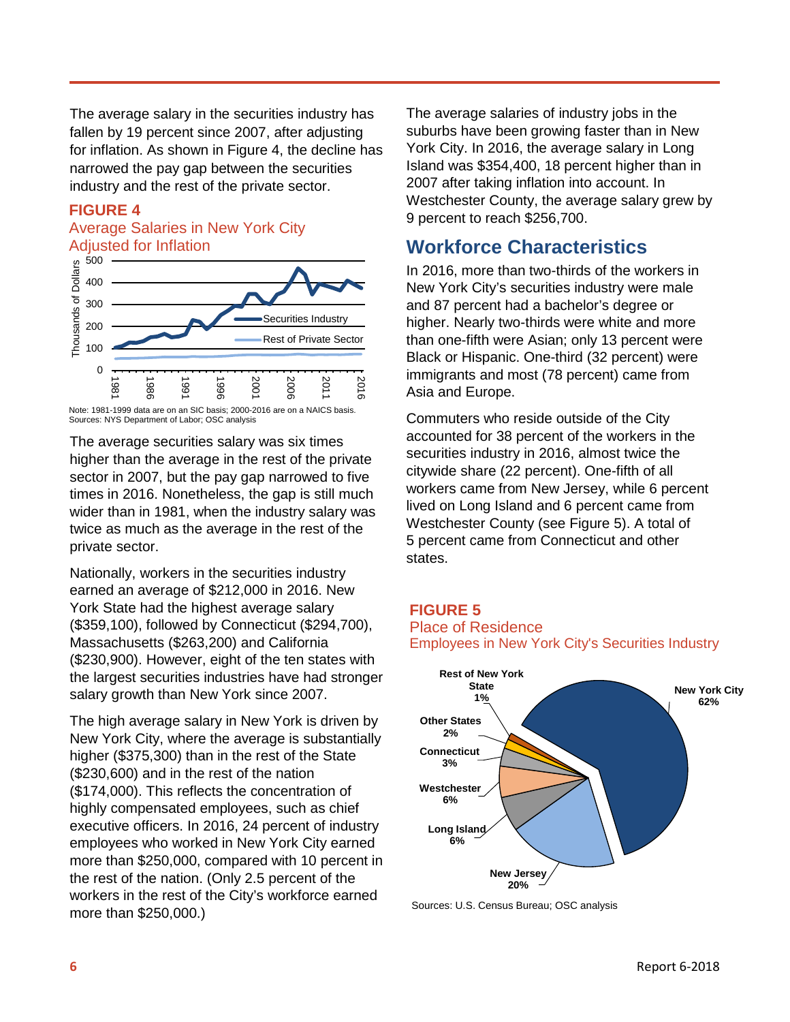The average salary in the securities industry has fallen by 19 percent since 2007, after adjusting for inflation. As shown in Figure 4, the decline has narrowed the pay gap between the securities industry and the rest of the private sector.

#### **FIGURE 4**

#### Average Salaries in New York City Adjusted for Inflation



The average securities salary was six times higher than the average in the rest of the private sector in 2007, but the pay gap narrowed to five times in 2016. Nonetheless, the gap is still much wider than in 1981, when the industry salary was twice as much as the average in the rest of the private sector.

Nationally, workers in the securities industry earned an average of \$212,000 in 2016. New York State had the highest average salary (\$359,100), followed by Connecticut (\$294,700), Massachusetts (\$263,200) and California (\$230,900). However, eight of the ten states with the largest securities industries have had stronger salary growth than New York since 2007.

The high average salary in New York is driven by New York City, where the average is substantially higher (\$375,300) than in the rest of the State (\$230,600) and in the rest of the nation (\$174,000). This reflects the concentration of highly compensated employees, such as chief executive officers. In 2016, 24 percent of industry employees who worked in New York City earned more than \$250,000, compared with 10 percent in the rest of the nation. (Only 2.5 percent of the workers in the rest of the City's workforce earned more than \$250,000.)

The average salaries of industry jobs in the suburbs have been growing faster than in New York City. In 2016, the average salary in Long Island was \$354,400, 18 percent higher than in 2007 after taking inflation into account. In Westchester County, the average salary grew by 9 percent to reach \$256,700.

## **Workforce Characteristics**

In 2016, more than two-thirds of the workers in New York City's securities industry were male and 87 percent had a bachelor's degree or higher. Nearly two-thirds were white and more than one-fifth were Asian; only 13 percent were Black or Hispanic. One-third (32 percent) were immigrants and most (78 percent) came from Asia and Europe.

Commuters who reside outside of the City accounted for 38 percent of the workers in the securities industry in 2016, almost twice the citywide share (22 percent). One-fifth of all workers came from New Jersey, while 6 percent lived on Long Island and 6 percent came from Westchester County (see Figure 5). A total of 5 percent came from Connecticut and other states.

#### **FIGURE 5**

#### Place of Residence Employees in New York City's Securities Industry



Sources: U.S. Census Bureau; OSC analysis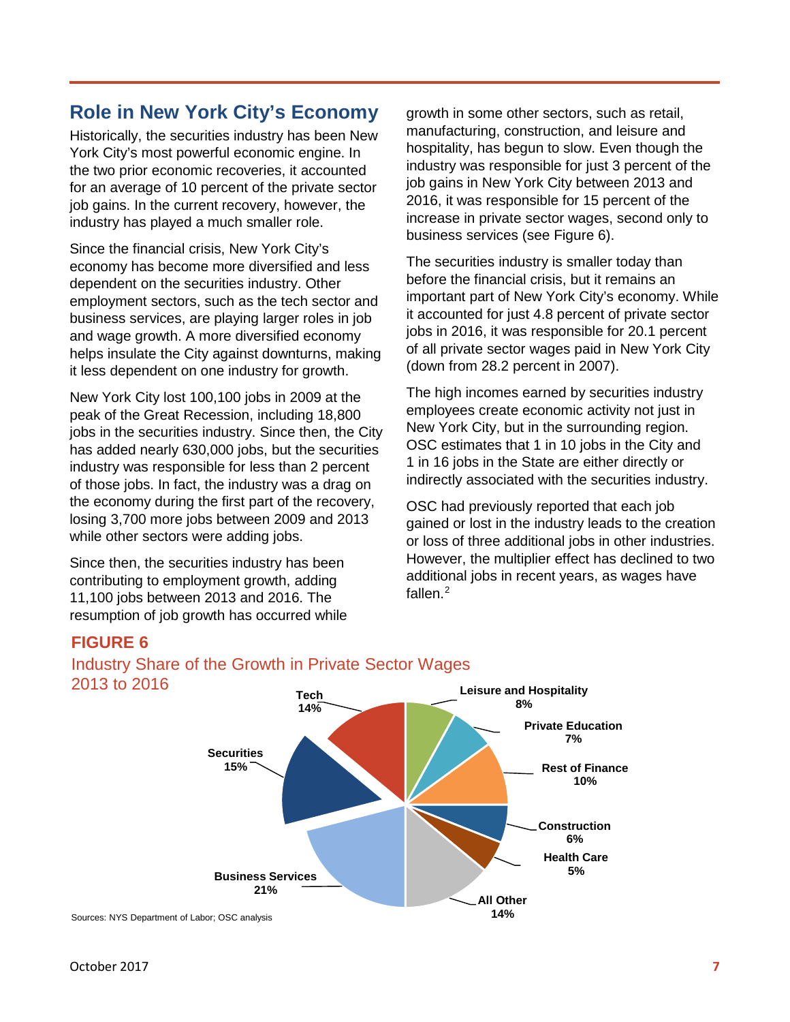## **Role in New York City's Economy**

Historically, the securities industry has been New York City's most powerful economic engine. In the two prior economic recoveries, it accounted for an average of 10 percent of the private sector job gains. In the current recovery, however, the industry has played a much smaller role.

Since the financial crisis, New York City's economy has become more diversified and less dependent on the securities industry. Other employment sectors, such as the tech sector and business services, are playing larger roles in job and wage growth. A more diversified economy helps insulate the City against downturns, making it less dependent on one industry for growth.

New York City lost 100,100 jobs in 2009 at the peak of the Great Recession, including 18,800 jobs in the securities industry. Since then, the City has added nearly 630,000 jobs, but the securities industry was responsible for less than 2 percent of those jobs. In fact, the industry was a drag on the economy during the first part of the recovery, losing 3,700 more jobs between 2009 and 2013 while other sectors were adding jobs.

Since then, the securities industry has been contributing to employment growth, adding 11,100 jobs between 2013 and 2016. The resumption of job growth has occurred while growth in some other sectors, such as retail, manufacturing, construction, and leisure and hospitality, has begun to slow. Even though the industry was responsible for just 3 percent of the job gains in New York City between 2013 and 2016, it was responsible for 15 percent of the increase in private sector wages, second only to business services (see Figure 6).

The securities industry is smaller today than before the financial crisis, but it remains an important part of New York City's economy. While it accounted for just 4.8 percent of private sector jobs in 2016, it was responsible for 20.1 percent of all private sector wages paid in New York City (down from 28.2 percent in 2007).

The high incomes earned by securities industry employees create economic activity not just in New York City, but in the surrounding region. OSC estimates that 1 in 10 jobs in the City and 1 in 16 jobs in the State are either directly or indirectly associated with the securities industry.

OSC had previously reported that each job gained or lost in the industry leads to the creation or loss of three additional jobs in other industries. However, the multiplier effect has declined to two additional jobs in recent years, as wages have fallen.<sup>[2](#page-7-1)</sup>

#### **FIGURE 6**



### Industry Share of the Growth in Private Sector Wages 2013 to 2016

Sources: NYS Department of Labor; OSC analysis